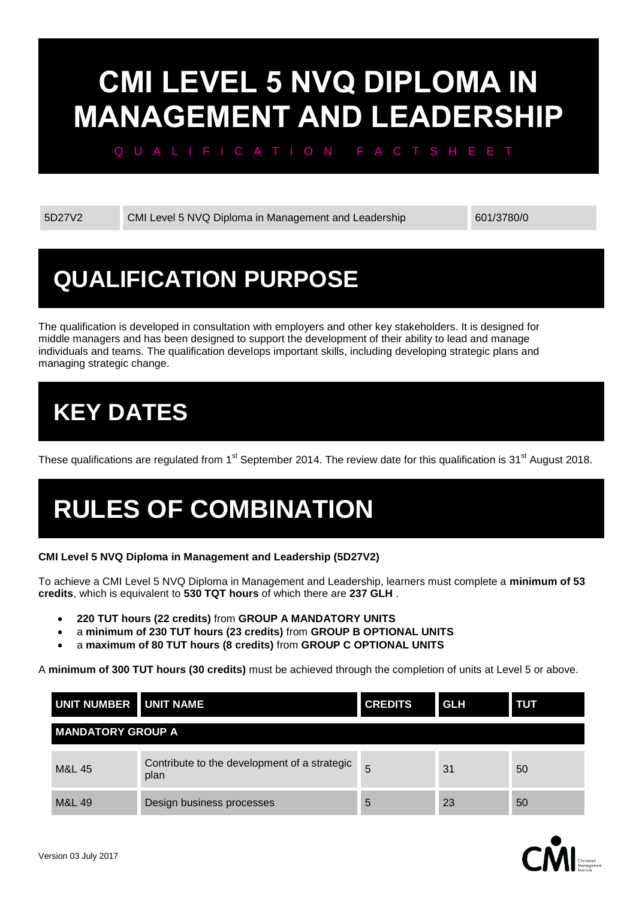# **CMI LEVEL 5 NVQ DIPLOMA IN MANAGEMENT AND LEADERSHIP**

#### Q U A L I F I C A T I O N F A C T S H E E T

5D27V2 CMI Level 5 NVQ Diploma in Management and Leadership 601/3780/0

## **QUALIFICATION PURPOSE**

The qualification is developed in consultation with employers and other key stakeholders. It is designed for middle managers and has been designed to support the development of their ability to lead and manage individuals and teams. The qualification develops important skills, including developing strategic plans and managing strategic change.

## **KEY DATES**

These qualifications are regulated from 1<sup>st</sup> September 2014. The review date for this qualification is 31<sup>st</sup> August 2018.

## **RULES OF COMBINATION**

#### **CMI Level 5 NVQ Diploma in Management and Leadership (5D27V2)**

To achieve a CMI Level 5 NVQ Diploma in Management and Leadership, learners must complete a **minimum of 53 credits**, which is equivalent to **530 TQT hours** of which there are **237 GLH** .

- **220 TUT hours (22 credits)** from **GROUP A MANDATORY UNITS**
- a **minimum of 230 TUT hours (23 credits)** from **GROUP B OPTIONAL UNITS**
- a **maximum of 80 TUT hours (8 credits)** from **GROUP C OPTIONAL UNITS**

A **minimum of 300 TUT hours (30 credits)** must be achieved through the completion of units at Level 5 or above.

| UNIT NUMBER UNIT NAME    |                                                      | <b>CREDITS</b> | <b>GLH</b> | <b>TUT</b> |  |  |
|--------------------------|------------------------------------------------------|----------------|------------|------------|--|--|
| <b>MANDATORY GROUP A</b> |                                                      |                |            |            |  |  |
| <b>M&amp;L 45</b>        | Contribute to the development of a strategic<br>plan | 5              | 31         | 50         |  |  |
| M&L 49                   | Design business processes                            | 5              | 23         | 50         |  |  |

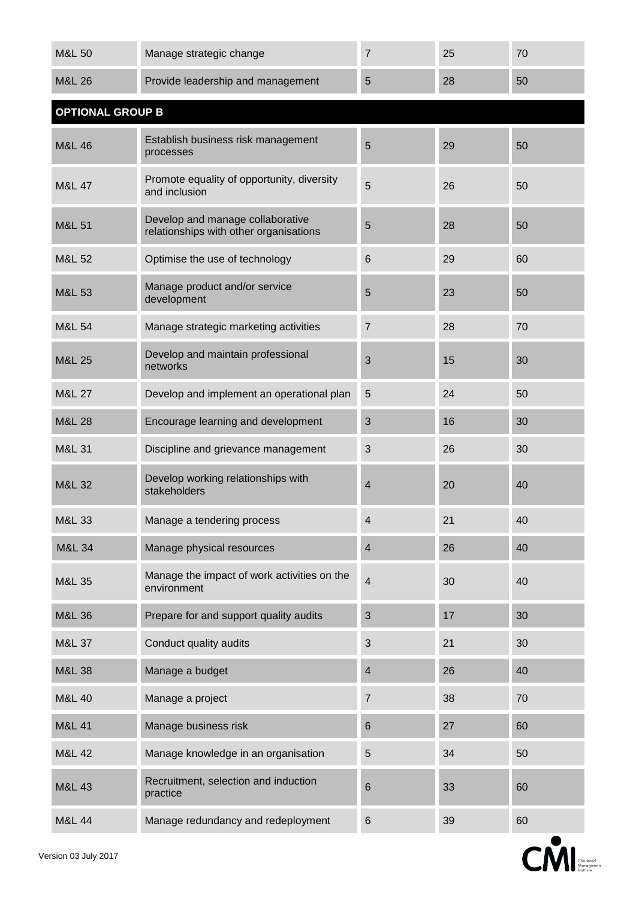| <b>M&amp;L 50</b>       | Manage strategic change                                                    | $\overline{7}$          | 25 | 70 |  |  |
|-------------------------|----------------------------------------------------------------------------|-------------------------|----|----|--|--|
| M&L 26                  | Provide leadership and management                                          | 5                       | 28 | 50 |  |  |
| <b>OPTIONAL GROUP B</b> |                                                                            |                         |    |    |  |  |
| M&L 46                  | Establish business risk management<br>processes                            | 5                       | 29 | 50 |  |  |
| <b>M&amp;L 47</b>       | Promote equality of opportunity, diversity<br>and inclusion                | 5                       | 26 | 50 |  |  |
| M&L 51                  | Develop and manage collaborative<br>relationships with other organisations | 5                       | 28 | 50 |  |  |
| M&L 52                  | Optimise the use of technology                                             | $6\phantom{1}6$         | 29 | 60 |  |  |
| M&L 53                  | Manage product and/or service<br>development                               | 5                       | 23 | 50 |  |  |
| M&L 54                  | Manage strategic marketing activities                                      | $\overline{7}$          | 28 | 70 |  |  |
| M&L 25                  | Develop and maintain professional<br>networks                              | 3                       | 15 | 30 |  |  |
| <b>M&amp;L 27</b>       | Develop and implement an operational plan                                  | 5                       | 24 | 50 |  |  |
| M&L 28                  | Encourage learning and development                                         | 3                       | 16 | 30 |  |  |
| M&L 31                  | Discipline and grievance management                                        | 3                       | 26 | 30 |  |  |
| M&L 32                  | Develop working relationships with<br>stakeholders                         | $\overline{4}$          | 20 | 40 |  |  |
| M&L 33                  | Manage a tendering process                                                 |                         | 21 | 40 |  |  |
| M&L 34                  | Manage physical resources                                                  | $\overline{\mathbf{4}}$ | 26 | 40 |  |  |
| M&L 35                  | Manage the impact of work activities on the<br>environment                 | $\overline{\mathbf{4}}$ | 30 | 40 |  |  |
| <b>M&amp;L 36</b>       | Prepare for and support quality audits                                     | 3                       | 17 | 30 |  |  |
| <b>M&amp;L 37</b>       | Conduct quality audits                                                     | $\mathfrak{S}$          | 21 | 30 |  |  |
| <b>M&amp;L 38</b>       | Manage a budget                                                            | $\overline{4}$          | 26 | 40 |  |  |
| M&L 40                  | Manage a project                                                           | $\overline{7}$          | 38 | 70 |  |  |
| M&L 41                  | Manage business risk                                                       | $\,6$                   | 27 | 60 |  |  |
| M&L 42                  | Manage knowledge in an organisation                                        | 5                       | 34 | 50 |  |  |
| M&L 43                  | Recruitment, selection and induction<br>practice                           | $6\phantom{1}6$         | 33 | 60 |  |  |
| <b>M&amp;L 44</b>       | Manage redundancy and redeployment                                         | $\,$ 6                  | 39 | 60 |  |  |